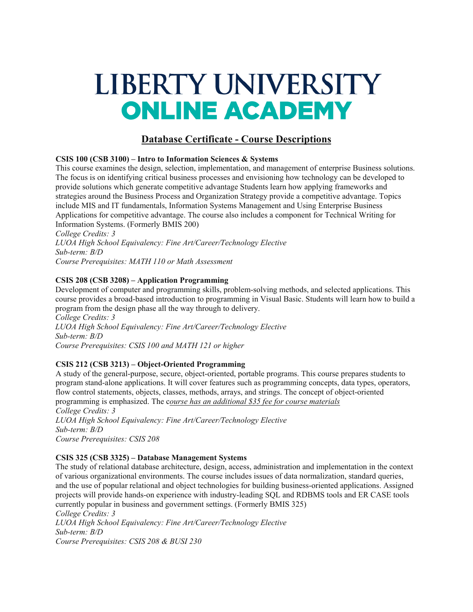# LIBERTY UNIVERSITY **ONLINE ACADEMY**

# **Database Certificate - Course Descriptions**

### **CSIS 100 (CSB 3100) – Intro to Information Sciences & Systems**

This course examines the design, selection, implementation, and management of enterprise Business solutions. The focus is on identifying critical business processes and envisioning how technology can be developed to provide solutions which generate competitive advantage Students learn how applying frameworks and strategies around the Business Process and Organization Strategy provide a competitive advantage. Topics include MIS and IT fundamentals, Information Systems Management and Using Enterprise Business Applications for competitive advantage. The course also includes a component for Technical Writing for Information Systems. (Formerly BMIS 200)

*College Credits: 3 LUOA High School Equivalency: Fine Art/Career/Technology Elective Sub-term: B/D Course Prerequisites: MATH 110 or Math Assessment*

### **CSIS 208 (CSB 3208) – Application Programming**

Development of computer and programming skills, problem-solving methods, and selected applications. This course provides a broad-based introduction to programming in Visual Basic. Students will learn how to build a program from the design phase all the way through to delivery. *College Credits: 3*

*LUOA High School Equivalency: Fine Art/Career/Technology Elective Sub-term: B/D Course Prerequisites: CSIS 100 and MATH 121 or higher*

# **CSIS 212 (CSB 3213) – Object-Oriented Programming**

A study of the general-purpose, secure, object-oriented, portable programs. This course prepares students to program stand-alone applications. It will cover features such as programming concepts, data types, operators, flow control statements, objects, classes, methods, arrays, and strings. The concept of object-oriented programming is emphasized. The c*ourse has an additional \$35 fee for course materials*

*College Credits: 3 LUOA High School Equivalency: Fine Art/Career/Technology Elective Sub-term: B/D Course Prerequisites: CSIS 208*

#### **CSIS 325 (CSB 3325) – Database Management Systems**

The study of relational database architecture, design, access, administration and implementation in the context of various organizational environments. The course includes issues of data normalization, standard queries, and the use of popular relational and object technologies for building business-oriented applications. Assigned projects will provide hands-on experience with industry-leading SQL and RDBMS tools and ER CASE tools currently popular in business and government settings. (Formerly BMIS 325) *College Credits: 3 LUOA High School Equivalency: Fine Art/Career/Technology Elective Sub-term: B/D*

*Course Prerequisites: CSIS 208 & BUSI 230*